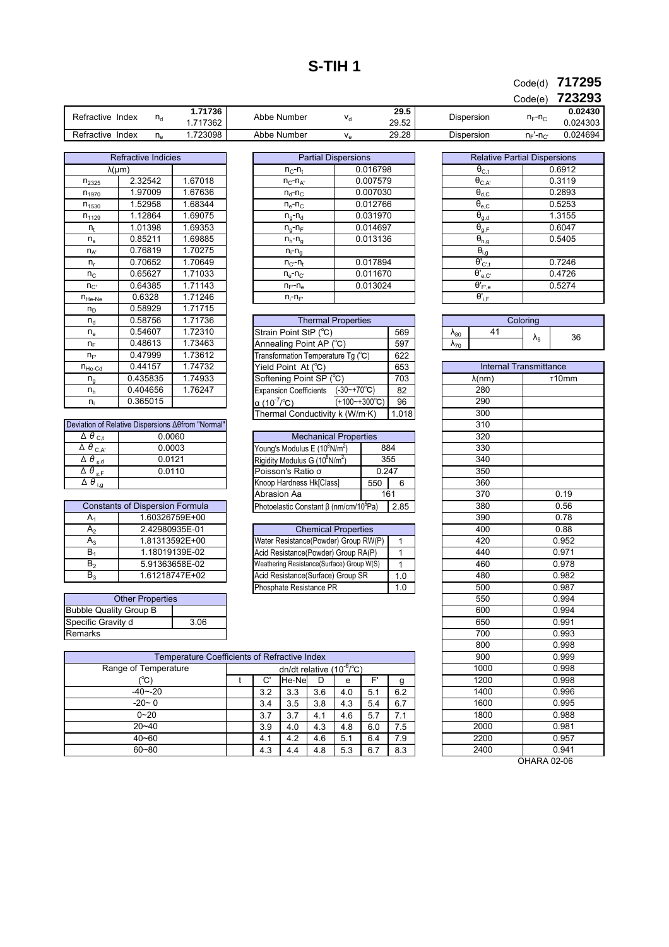## **S-TIH 1**

**717295** Code(d)

**723293** Code(e)

|                     |                |        |             |        |             | - - - -                                                     | ___      |  |         |
|---------------------|----------------|--------|-------------|--------|-------------|-------------------------------------------------------------|----------|--|---------|
| Refractive<br>Index | ہ ا            |        |             | .71736 | Abbe Number | 29.5                                                        |          |  | 0.02430 |
|                     |                | 17362  |             | 29.52  | Dispersion  | $n_F - n_C$                                                 | 0.024303 |  |         |
| Refractive<br>Index | $\overline{1}$ | 723098 | Abbe Number | 29.28  | Dispersion  | n<br>$\mathsf{H}_{\mathsf{F}}$ - $\mathsf{H}_{\mathsf{C}'}$ | 0.024694 |  |         |

| <b>Refractive Indicies</b> |          |         |  |  |  |
|----------------------------|----------|---------|--|--|--|
| $\lambda(\mu m)$           |          |         |  |  |  |
| $n_{2325}$                 | 2.32542  | 1.67018 |  |  |  |
| $n_{1970}$                 | 1.97009  | 1.67636 |  |  |  |
| $n_{1530}$                 | 1.52958  | 1.68344 |  |  |  |
| $n_{1129}$                 | 1.12864  | 1.69075 |  |  |  |
| n <sub>t</sub>             | 1.01398  | 1.69353 |  |  |  |
| ${\sf n}_{\sf s}$          | 0.85211  | 1.69885 |  |  |  |
| $n_{A'}$                   | 0.76819  | 1.70275 |  |  |  |
| n,                         | 0.70652  | 1.70649 |  |  |  |
| $n_{C}$                    | 0.65627  | 1.71033 |  |  |  |
| $n_{C}$                    | 0.64385  | 1.71143 |  |  |  |
| $n_{He-Ne}$                | 0.6328   | 1.71246 |  |  |  |
| n <sub>D</sub>             | 0.58929  | 1.71715 |  |  |  |
| $n_{d}$                    | 0.58756  | 1.71736 |  |  |  |
| $n_e$                      | 0.54607  | 1.72310 |  |  |  |
| $n_F$                      | 0.48613  | 1.73463 |  |  |  |
| $n_F$                      | 0.47999  | 1.73612 |  |  |  |
| $n_{He-Cd}$                | 0.44157  | 1.74732 |  |  |  |
| ${\sf n}_{\sf g}$          | 0.435835 | 1.74933 |  |  |  |
| $n_h$                      | 0.404656 | 1.76247 |  |  |  |
| $n_i$                      | 0.365015 |         |  |  |  |

| Deviation of Relative Dispersions Aefrom "Normal" |        |  |  |  |  |  |
|---------------------------------------------------|--------|--|--|--|--|--|
| $\overline{\Delta}$ $\theta$ <sub>C.t</sub>       | 0.0060 |  |  |  |  |  |
| $\overline{\Delta}$ $\theta$ <sub>C,A'</sub>      | 0.0003 |  |  |  |  |  |
| $\overline{\Delta\theta}_{\rm g,d}$               | 0.0121 |  |  |  |  |  |
| $\overline{\Delta} \theta_{\rm g,F}$              | 0.0110 |  |  |  |  |  |
|                                                   |        |  |  |  |  |  |

| <b>Constants of Dispersion Formula</b> |                |  |  |  |  |  |
|----------------------------------------|----------------|--|--|--|--|--|
| A۱                                     | 1.60326759E+00 |  |  |  |  |  |
| А,                                     | 2.42980935E-01 |  |  |  |  |  |
| A٩                                     | 1.81313592E+00 |  |  |  |  |  |
| B,                                     | 1.18019139E-02 |  |  |  |  |  |
| в,                                     | 5.91363658E-02 |  |  |  |  |  |
| B٠                                     | 1.61218747E+02 |  |  |  |  |  |

| <b>Other Properties</b>       |      |  |  |  |
|-------------------------------|------|--|--|--|
| <b>Bubble Quality Group B</b> |      |  |  |  |
| Specific Gravity d            | 3.06 |  |  |  |
| Remarks                       |      |  |  |  |

|         | <b>Partial Dispersions</b> |          | Rela                        |
|---------|----------------------------|----------|-----------------------------|
|         | $n_{C}$ - $n_{t}$          | 0.016798 | $\Theta_{C,t}$              |
| 1.67018 | $n_{C}$ - $n_{A'}$         | 0.007579 | $\overline{\theta_{C,A}}$   |
| 1.67636 | $n_{d}$ - $n_{C}$          | 0.007030 | $\Theta_{d,C}$              |
| 1.68344 | $n_e - n_c$                | 0.012766 | $\theta_{\rm e,C}$          |
| 1.69075 | $n_q - n_d$                | 0.031970 | $\theta_{g,d}$              |
| 1.69353 | $n_q - n_F$                | 0.014697 | $\theta_{g,F}$              |
| 1.69885 | $n_h - n_a$                | 0.013136 | $\theta_{h,g}$              |
| 1.70275 | $n_i - n_a$                |          | $\theta_{i,g}$              |
| 1.70649 | $n_{C}$ - $n_t$            | 0.017894 | $\theta'_{C',}$             |
| 1.71033 | $n_e - n_{C}$              | 0.011670 | $\theta_{\rm e,C}^{\prime}$ |
| 1.71143 | $n_F - n_e$                | 0.013024 | $\theta'_{F',\theta}$       |
| 1.71246 | $n_i - n_F$                |          | $\theta'_{i,F}$             |

| <b>Thermal Properties</b>          |       |                |                |
|------------------------------------|-------|----------------|----------------|
| Strain Point StP (°C)              |       | 569            | $\lambda_{80}$ |
| Annealing Point AP (°C)            | 597   | $\lambda_{70}$ |                |
| Transformation Temperature Tg (°C) | 622   |                |                |
| Yield Point At (°C)                | 653   |                |                |
| Softening Point SP (°C)            | 703   |                |                |
| Expansion Coefficients (-30~+70°C) | 82    |                |                |
| α (10 <sup>-7</sup> /°C)           | 96    |                |                |
| Thermal Conductivity k (W/m·K)     | 1.018 |                |                |

| <b>Mechanical Properties</b>                                 |       |     |  |  |  |  |
|--------------------------------------------------------------|-------|-----|--|--|--|--|
| Young's Modulus E (10 <sup>8</sup> N/m <sup>2</sup> )<br>884 |       |     |  |  |  |  |
| Rigidity Modulus G (10 <sup>8</sup> N/m <sup>2</sup> )       |       | 355 |  |  |  |  |
| Poisson's Ratio o                                            | 0.247 |     |  |  |  |  |
| Knoop Hardness Hk[Class]                                     | 550   |     |  |  |  |  |
| Abrasion Aa<br>161                                           |       |     |  |  |  |  |
| Photoelastic Constant β (nm/cm/10 <sup>5</sup> Pa)           | 285   |     |  |  |  |  |

| <b>Chemical Properties</b>                |     |  |  |  |  |
|-------------------------------------------|-----|--|--|--|--|
| Water Resistance(Powder) Group RW(P)      |     |  |  |  |  |
| Acid Resistance(Powder) Group RA(P)       |     |  |  |  |  |
| Weathering Resistance(Surface) Group W(S) |     |  |  |  |  |
| Acid Resistance(Surface) Group SR         | 1.0 |  |  |  |  |
| Phosphate Resistance PR                   | 1.0 |  |  |  |  |

|                                                     |  |     |                                      |     |     |     |     | 800  |
|-----------------------------------------------------|--|-----|--------------------------------------|-----|-----|-----|-----|------|
| <b>Temperature Coefficients of Refractive Index</b> |  |     |                                      |     |     |     |     | 900  |
| Range of Temperature                                |  |     | dn/dt relative $(10^{-6}/^{\circ}C)$ |     |     |     |     | 1000 |
| (°C)                                                |  | C'  | He-Ne                                |     | e   | F'  | g   | 1200 |
| $-40 - -20$                                         |  | 3.2 | 3.3                                  | 3.6 | 4.0 | 5.1 | 6.2 | 1400 |
| $-20 - 0$                                           |  | 3.4 | 3.5                                  | 3.8 | 4.3 | 5.4 | 6.7 | 1600 |
| $0 - 20$                                            |  | 3.7 | 3.7                                  | 4.1 | 4.6 | 5.7 | 7.1 | 1800 |
| $20 - 40$                                           |  | 3.9 | 4.0                                  | 4.3 | 4.8 | 6.0 | 7.5 | 2000 |
| $40 - 60$                                           |  | 4.1 | 4.2                                  | 4.6 | 5.1 | 6.4 | 7.9 | 2200 |
| $60 - 80$                                           |  | 4.3 | 4.4                                  | 4.8 | 5.3 | 6.7 | 8.3 | 2400 |

| <b>Relative Partial Dispersions</b>             |        |  |  |  |  |  |
|-------------------------------------------------|--------|--|--|--|--|--|
| $\boldsymbol{\theta}_{C,t}$                     | 0.6912 |  |  |  |  |  |
| $\bar{\theta}_{C,A'}$                           | 0.3119 |  |  |  |  |  |
| $\bar{\theta}_{d,\bar{C}}$                      | 0.2893 |  |  |  |  |  |
| $\theta_{\rm e, C}$                             | 0.5253 |  |  |  |  |  |
| $\theta_{g,d}$                                  | 1.3155 |  |  |  |  |  |
| $\theta_{g,F}$                                  | 0.6047 |  |  |  |  |  |
| $\theta_{h,g}$                                  | 0.5405 |  |  |  |  |  |
| $\boldsymbol{\theta}_{i,g}$                     |        |  |  |  |  |  |
| $\overline{\theta'}_{C',t}$                     | 0.7246 |  |  |  |  |  |
| $\theta'_{e,\underline{C'}}$                    | 0.4726 |  |  |  |  |  |
| $\overline{\theta'}_{{\mathsf F}',{\mathsf e}}$ | 0.5274 |  |  |  |  |  |
| Ө'⊹∈                                            |        |  |  |  |  |  |

| Coloring       |  |    |    |  |  |  |
|----------------|--|----|----|--|--|--|
| $\Lambda_{80}$ |  |    | 36 |  |  |  |
|                |  | Λ5 |    |  |  |  |

| <b>Internal Transmittance</b> |                    |  |  |  |  |
|-------------------------------|--------------------|--|--|--|--|
| $\lambda$ (nm)                | T <sub>10</sub> mm |  |  |  |  |
| 280                           |                    |  |  |  |  |
| 290                           |                    |  |  |  |  |
| 300                           |                    |  |  |  |  |
| 310                           |                    |  |  |  |  |
| 320                           |                    |  |  |  |  |
| 330                           |                    |  |  |  |  |
| 340                           |                    |  |  |  |  |
| 350                           |                    |  |  |  |  |
| 360                           |                    |  |  |  |  |
| $\overline{370}$              | 0.19               |  |  |  |  |
| 380                           | 0.56               |  |  |  |  |
| 390                           | 0.78               |  |  |  |  |
| 400                           | 0.88               |  |  |  |  |
| 420                           | 0.952              |  |  |  |  |
| 440                           | 0.971              |  |  |  |  |
| 460                           | 0.978              |  |  |  |  |
| 480                           | 0.982              |  |  |  |  |
| 500                           | 0.987              |  |  |  |  |
| 550                           | 0.994              |  |  |  |  |
| 600                           | 0.994              |  |  |  |  |
| 650                           | 0.991              |  |  |  |  |
| 700                           | 0.993              |  |  |  |  |
| 800                           | 0.998              |  |  |  |  |
| 900                           | 0.999              |  |  |  |  |
| 1000                          | 0.998              |  |  |  |  |
| 1200                          | 0.998              |  |  |  |  |
| 1400                          | 0.996              |  |  |  |  |
| 1600                          | 0.995              |  |  |  |  |
| 1800                          | 0.988              |  |  |  |  |
| 2000                          | 0.981              |  |  |  |  |
| 2200                          | 0.957              |  |  |  |  |
| 2400                          | 0.941              |  |  |  |  |

OHARA 02-06